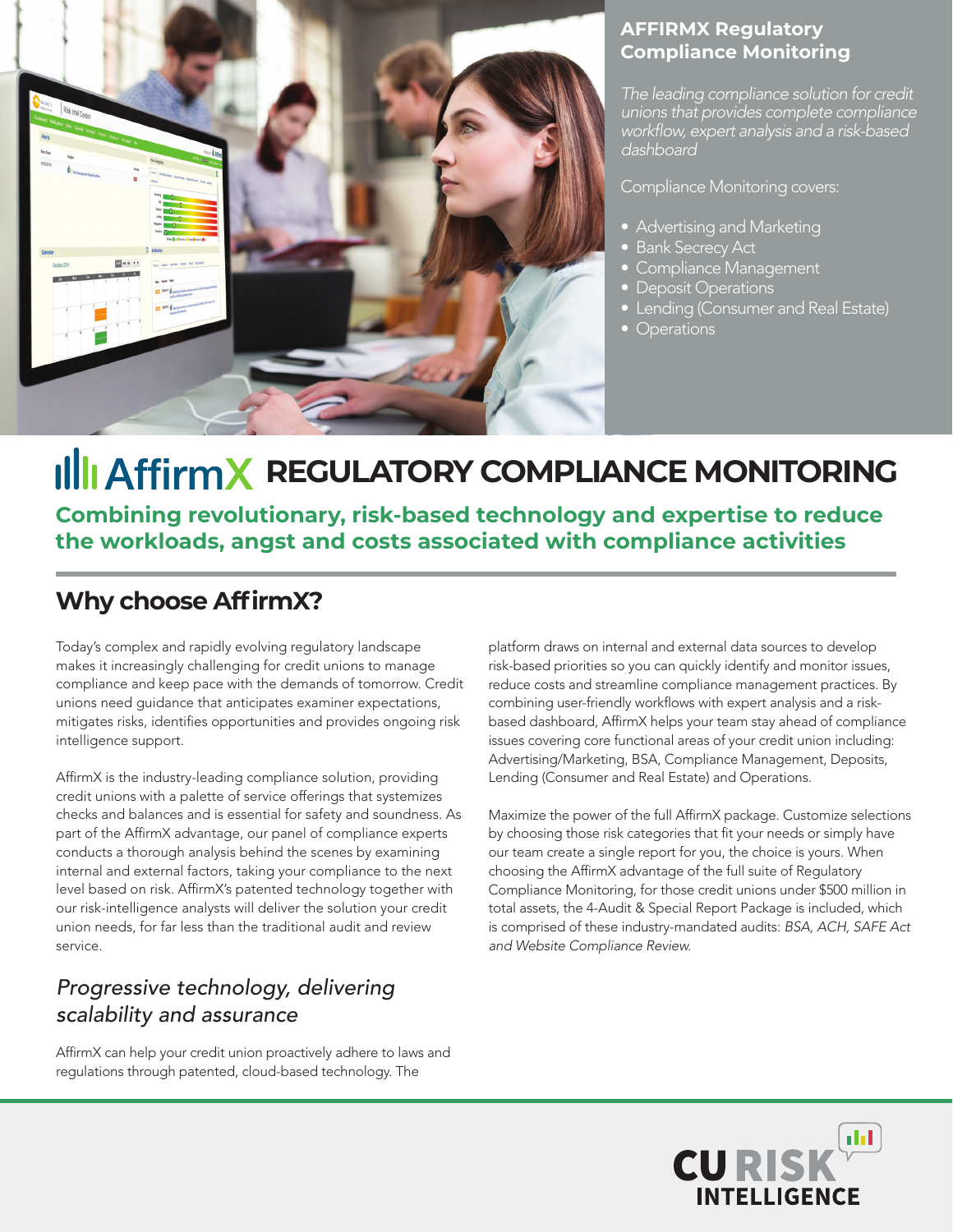

#### **AFFIRMX Regulatory Compliance Monitoring**

*The leading compliance solution for credit unions that provides complete compliance*  workflow, expert analysis and a risk-based *dashboard* 

Compliance Monitoring covers:

- Advertising and Marketing
- Bank Secrecy Act
- Compliance Management
- Deposit Operations
- **Lending (Consumer and Real Estate)**
- Operations

## **REGULATORY COMPLIANCE MONITORING**

**Combining revolutionary, risk-based technology and expertise to reduce the workloads, angst and costs associated with compliance activities**

### **Why choose AffirmX?**

Today's complex and rapidly evolving regulatory landscape makes it increasingly challenging for credit unions to manage compliance and keep pace with the demands of tomorrow. Credit unions need guidance that anticipates examiner expectations, mitigates risks, identifies opportunities and provides ongoing risk intelligence support.

AffirmX is the industry-leading compliance solution, providing credit unions with a palette of service offerings that systemizes checks and balances and is essential for safety and soundness. As part of the AffirmX advantage, our panel of compliance experts conducts a thorough analysis behind the scenes by examining internal and external factors, taking your compliance to the next level based on risk. AffirmX's patented technology together with our risk-intelligence analysts will deliver the solution your credit union needs, for far less than the traditional audit and review service.

### *Progressive technology, delivering scalability and assurance*

AffirmX can help your credit union proactively adhere to laws and regulations through patented, cloud-based technology. The

platform draws on internal and external data sources to develop risk-based priorities so you can quickly identify and monitor issues, reduce costs and streamline compliance management practices. By combining user-friendly workflows with expert analysis and a riskbased dashboard, AffirmX helps your team stay ahead of compliance issues covering core functional areas of your credit union including: Advertising/Marketing, BSA, Compliance Management, Deposits, Lending (Consumer and Real Estate) and Operations.

Maximize the power of the full AffirmX package. Customize selections by choosing those risk categories that fit your needs or simply have our team create a single report for you, the choice is yours. When choosing the AffirmX advantage of the full suite of Regulatory Compliance Monitoring, for those credit unions under \$500 million in total assets, the 4-Audit & Special Report Package is included, which is comprised of these industry-mandated audits: *BSA, ACH, SAFE Act and Website Compliance Review.*